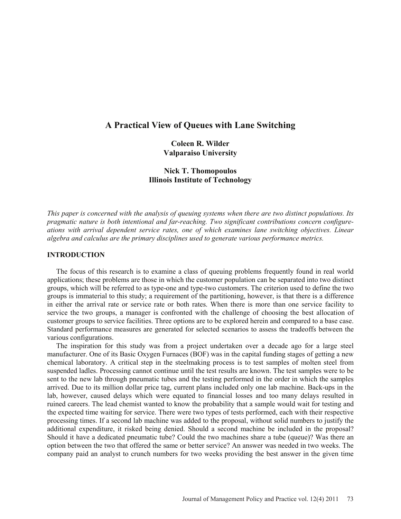# **A Practical View of Queues with Lane Switching**

**Coleen R. Wilder Valparaiso University** 

## **Nick T. Thomopoulos Illinois Institute of Technology**

*This paper is concerned with the analysis of queuing systems when there are two distinct populations. Its pragmatic nature is both intentional and far-reaching. Two significant contributions concern configureations with arrival dependent service rates, one of which examines lane switching objectives. Linear algebra and calculus are the primary disciplines used to generate various performance metrics.* 

### **INTRODUCTION**

 The focus of this research is to examine a class of queuing problems frequently found in real world applications; these problems are those in which the customer population can be separated into two distinct groups, which will be referred to as type-one and type-two customers. The criterion used to define the two groups is immaterial to this study; a requirement of the partitioning, however, is that there is a difference in either the arrival rate or service rate or both rates. When there is more than one service facility to service the two groups, a manager is confronted with the challenge of choosing the best allocation of customer groups to service facilities. Three options are to be explored herein and compared to a base case. Standard performance measures are generated for selected scenarios to assess the tradeoffs between the various configurations.

 The inspiration for this study was from a project undertaken over a decade ago for a large steel manufacturer. One of its Basic Oxygen Furnaces (BOF) was in the capital funding stages of getting a new chemical laboratory. A critical step in the steelmaking process is to test samples of molten steel from suspended ladles. Processing cannot continue until the test results are known. The test samples were to be sent to the new lab through pneumatic tubes and the testing performed in the order in which the samples arrived. Due to its million dollar price tag, current plans included only one lab machine. Back-ups in the lab, however, caused delays which were equated to financial losses and too many delays resulted in ruined careers. The lead chemist wanted to know the probability that a sample would wait for testing and the expected time waiting for service. There were two types of tests performed, each with their respective processing times. If a second lab machine was added to the proposal, without solid numbers to justify the additional expenditure, it risked being denied. Should a second machine be included in the proposal? Should it have a dedicated pneumatic tube? Could the two machines share a tube (queue)? Was there an option between the two that offered the same or better service? An answer was needed in two weeks. The company paid an analyst to crunch numbers for two weeks providing the best answer in the given time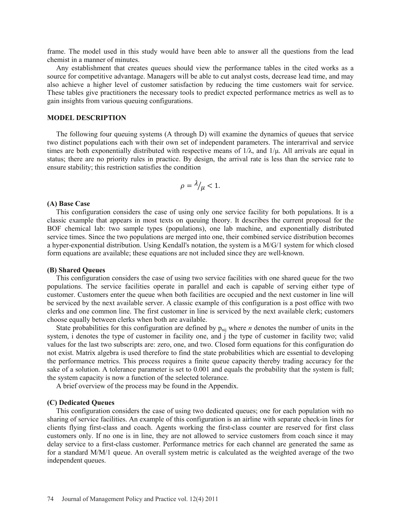frame. The model used in this study would have been able to answer all the questions from the lead chemist in a manner of minutes.

 Any establishment that creates queues should view the performance tables in the cited works as a source for competitive advantage. Managers will be able to cut analyst costs, decrease lead time, and may also achieve a higher level of customer satisfaction by reducing the time customers wait for service. These tables give practitioners the necessary tools to predict expected performance metrics as well as to gain insights from various queuing configurations.

#### **MODEL DESCRIPTION**

 The following four queuing systems (A through D) will examine the dynamics of queues that service two distinct populations each with their own set of independent parameters. The interarrival and service times are both exponentially distributed with respective means of  $1/\lambda$ , and  $1/\mu$ . All arrivals are equal in status; there are no priority rules in practice. By design, the arrival rate is less than the service rate to ensure stability; this restriction satisfies the condition

$$
\rho = \frac{\lambda}{\mu} < 1.
$$

#### **(A) Base Case**

 This configuration considers the case of using only one service facility for both populations. It is a classic example that appears in most texts on queuing theory. It describes the current proposal for the BOF chemical lab: two sample types (populations), one lab machine, and exponentially distributed service times. Since the two populations are merged into one, their combined service distribution becomes a hyper-exponential distribution. Using Kendall's notation, the system is a M/G/1 system for which closed form equations are available; these equations are not included since they are well-known.

#### **(B) Shared Queues**

 This configuration considers the case of using two service facilities with one shared queue for the two populations. The service facilities operate in parallel and each is capable of serving either type of customer. Customers enter the queue when both facilities are occupied and the next customer in line will be serviced by the next available server. A classic example of this configuration is a post office with two clerks and one common line. The first customer in line is serviced by the next available clerk; customers choose equally between clerks when both are available.

State probabilities for this configuration are defined by  $p_{\text{ni}}$  where *n* denotes the number of units in the system, i denotes the type of customer in facility one, and j the type of customer in facility two; valid values for the last two subscripts are: zero, one, and two. Closed form equations for this configuration do not exist. Matrix algebra is used therefore to find the state probabilities which are essential to developing the performance metrics. This process requires a finite queue capacity thereby trading accuracy for the sake of a solution. A tolerance parameter is set to 0.001 and equals the probability that the system is full; the system capacity is now a function of the selected tolerance.

A brief overview of the process may be found in the Appendix.

#### **(C) Dedicated Queues**

 This configuration considers the case of using two dedicated queues; one for each population with no sharing of service facilities. An example of this configuration is an airline with separate check-in lines for clients flying first-class and coach. Agents working the first-class counter are reserved for first class customers only. If no one is in line, they are not allowed to service customers from coach since it may delay service to a first-class customer. Performance metrics for each channel are generated the same as for a standard M/M/1 queue. An overall system metric is calculated as the weighted average of the two independent queues.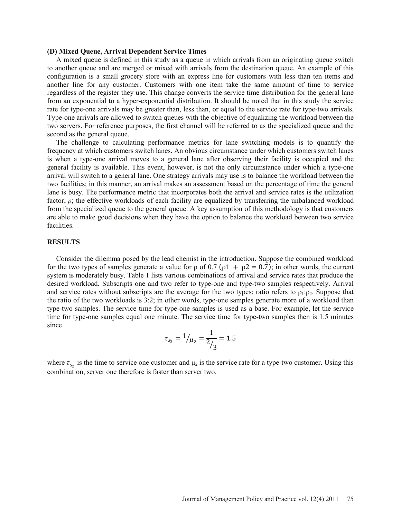#### **(D) Mixed Queue, Arrival Dependent Service Times**

 A mixed queue is defined in this study as a queue in which arrivals from an originating queue switch to another queue and are merged or mixed with arrivals from the destination queue. An example of this configuration is a small grocery store with an express line for customers with less than ten items and another line for any customer. Customers with one item take the same amount of time to service regardless of the register they use. This change converts the service time distribution for the general lane from an exponential to a hyper-exponential distribution. It should be noted that in this study the service rate for type-one arrivals may be greater than, less than, or equal to the service rate for type-two arrivals. Type-one arrivals are allowed to switch queues with the objective of equalizing the workload between the two servers. For reference purposes, the first channel will be referred to as the specialized queue and the second as the general queue.

 The challenge to calculating performance metrics for lane switching models is to quantify the frequency at which customers switch lanes. An obvious circumstance under which customers switch lanes is when a type-one arrival moves to a general lane after observing their facility is occupied and the general facility is available. This event, however, is not the only circumstance under which a type-one arrival will switch to a general lane. One strategy arrivals may use is to balance the workload between the two facilities; in this manner, an arrival makes an assessment based on the percentage of time the general lane is busy. The performance metric that incorporates both the arrival and service rates is the utilization factor, *ȡ*; the effective workloads of each facility are equalized by transferring the unbalanced workload from the specialized queue to the general queue. A key assumption of this methodology is that customers are able to make good decisions when they have the option to balance the workload between two service facilities.

### **RESULTS**

 Consider the dilemma posed by the lead chemist in the introduction. Suppose the combined workload for the two types of samples generate a value for  $\rho$  of 0.7 ( $\rho$ 1 +  $\rho$ 2 = 0.7); in other words, the current system is moderately busy. Table 1 lists various combinations of arrival and service rates that produce the desired workload. Subscripts one and two refer to type-one and type-two samples respectively. Arrival and service rates without subscripts are the average for the two types; ratio refers to  $\rho_1:\rho_2$ . Suppose that the ratio of the two workloads is 3:2; in other words, type-one samples generate more of a workload than type-two samples. The service time for type-one samples is used as a base. For example, let the service time for type-one samples equal one minute. The service time for type-two samples then is 1.5 minutes since

$$
\tau_{s_2} = \frac{1}{\mu_2} = \frac{1}{2/3} = 1.5
$$

where  $\tau_{s_2}$  is the time to service one customer and  $\mu_2$  is the service rate for a type-two customer. Using this combination, server one therefore is faster than server two.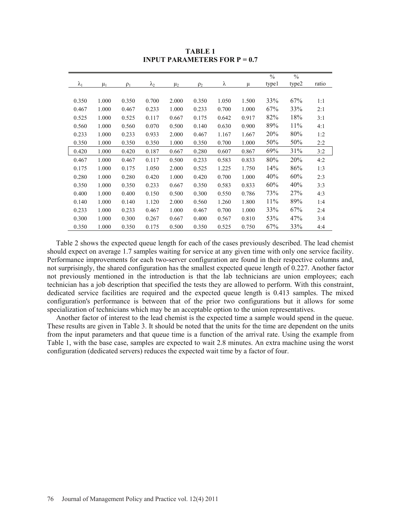|               |         |          |             |         |          |       |       | $\frac{0}{0}$ | $\frac{0}{0}$ |       |
|---------------|---------|----------|-------------|---------|----------|-------|-------|---------------|---------------|-------|
| $\lambda_{1}$ | $\mu_1$ | $\rho_1$ | $\lambda_2$ | $\mu_2$ | $\rho_2$ | λ     | μ     | typel         | type2         | ratio |
|               |         |          |             |         |          |       |       |               |               |       |
| 0.350         | 1.000   | 0.350    | 0.700       | 2.000   | 0.350    | 1.050 | 1.500 | 33%           | 67%           | 1:1   |
| 0.467         | 1.000   | 0.467    | 0.233       | 1.000   | 0.233    | 0.700 | 1.000 | 67%           | 33%           | 2:1   |
| 0.525         | 1.000   | 0.525    | 0.117       | 0.667   | 0.175    | 0.642 | 0.917 | 82%           | 18%           | 3:1   |
| 0.560         | 1.000   | 0.560    | 0.070       | 0.500   | 0.140    | 0.630 | 0.900 | 89%           | 11%           | 4:1   |
| 0.233         | 1.000   | 0.233    | 0.933       | 2.000   | 0.467    | 1.167 | 1.667 | 20%           | 80%           | 1:2   |
| 0.350         | 1.000   | 0.350    | 0.350       | 1.000   | 0.350    | 0.700 | 1.000 | 50%           | 50%           | 2:2   |
| 0.420         | 1.000   | 0.420    | 0.187       | 0.667   | 0.280    | 0.607 | 0.867 | 69%           | 31%           | 3:2   |
| 0.467         | 1.000   | 0.467    | 0.117       | 0.500   | 0.233    | 0.583 | 0.833 | 80%           | 20%           | 4:2   |
| 0.175         | 1.000   | 0.175    | 1.050       | 2.000   | 0.525    | 1.225 | 1.750 | 14%           | 86%           | 1:3   |
| 0.280         | 1.000   | 0.280    | 0.420       | 1.000   | 0.420    | 0.700 | 1.000 | 40%           | 60%           | 2:3   |
| 0.350         | 1.000   | 0.350    | 0.233       | 0.667   | 0.350    | 0.583 | 0.833 | 60%           | 40%           | 3:3   |
| 0.400         | 1.000   | 0.400    | 0.150       | 0.500   | 0.300    | 0.550 | 0.786 | 73%           | 27%           | 4:3   |
| 0.140         | 1.000   | 0.140    | 1.120       | 2.000   | 0.560    | 1.260 | 1.800 | 11%           | 89%           | 1:4   |
| 0.233         | 1.000   | 0.233    | 0.467       | 1.000   | 0.467    | 0.700 | 1.000 | 33%           | 67%           | 2:4   |
| 0.300         | 1.000   | 0.300    | 0.267       | 0.667   | 0.400    | 0.567 | 0.810 | 53%           | 47%           | 3:4   |
| 0.350         | 1.000   | 0.350    | 0.175       | 0.500   | 0.350    | 0.525 | 0.750 | 67%           | 33%           | 4:4   |

**TABLE 1 INPUT PARAMETERS FOR**  $P = 0.7$ 

 Table 2 shows the expected queue length for each of the cases previously described. The lead chemist should expect on average 1.7 samples waiting for service at any given time with only one service facility. Performance improvements for each two-server configuration are found in their respective columns and, not surprisingly, the shared configuration has the smallest expected queue length of 0.227. Another factor not previously mentioned in the introduction is that the lab technicians are union employees; each technician has a job description that specified the tests they are allowed to perform. With this constraint, dedicated service facilities are required and the expected queue length is 0.413 samples. The mixed configuration's performance is between that of the prior two configurations but it allows for some specialization of technicians which may be an acceptable option to the union representatives.

 Another factor of interest to the lead chemist is the expected time a sample would spend in the queue. These results are given in Table 3. It should be noted that the units for the time are dependent on the units from the input parameters and that queue time is a function of the arrival rate. Using the example from Table 1, with the base case, samples are expected to wait 2.8 minutes. An extra machine using the worst configuration (dedicated servers) reduces the expected wait time by a factor of four.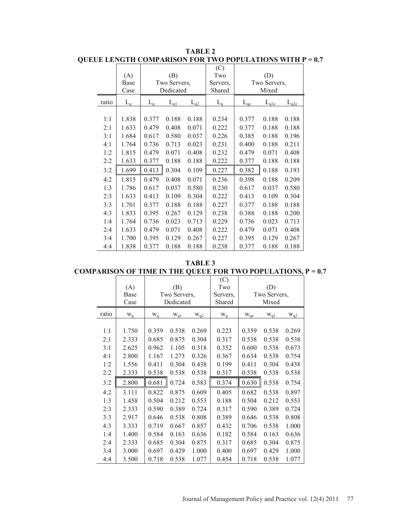**TABLE 2 QUEUE LENGTH COMPARISON FOR TWO POPULATIONS WITH P = 0.7** 

|       |                     |       |              |          | (C)      |                 |           |           |
|-------|---------------------|-------|--------------|----------|----------|-----------------|-----------|-----------|
|       | (A)                 |       | (B)          |          | Two      |                 | (D)       |           |
|       | Base                |       | Two Servers, |          | Servers, | Two Servers,    |           |           |
|       | Case                |       | Dedicated    |          | Shared   | Mixed           |           |           |
| ratio | $L_{\underline{q}}$ | $L_q$ | $L_{q1}$     | $L_{q2}$ | $L_q$    | $L_{\text{qe}}$ | $L_{q1e}$ | $L_{q2e}$ |
|       |                     |       |              |          |          |                 |           |           |
| 1:1   | 1.838               | 0.377 | 0.188        | 0.188    | 0.234    | 0.377           | 0.188     | 0.188     |
| 2:1   | 1.633               | 0.479 | 0.408        | 0.071    | 0.222    | 0.377           | 0.188     | 0.188     |
| 3:1   | 1.684               | 0.617 | 0.580        | 0.037    | 0.226    | 0.385           | 0.188     | 0.196     |
| 4:1   | 1.764               | 0.736 | 0.713        | 0.023    | 0.231    | 0.400           | 0.188     | 0.211     |
| 1:2   | 1.815               | 0.479 | 0.071        | 0.408    | 0.232    | 0.479           | 0.071     | 0.408     |
| 2:2   | 1.633               | 0.377 | 0.188        | 0.188    | 0.222    | 0.377           | 0.188     | 0.188     |
| 3:2   | 1.699               | 0.413 | 0.304        | 0.109    | 0.227    | 0.382           | 0.188     | 0.193     |
| 4:2   | 1.815               | 0.479 | 0.408        | 0.071    | 0.236    | 0.398           | 0.188     | 0.209     |
| 1:3   | 1.786               | 0.617 | 0.037        | 0.580    | 0.230    | 0.617           | 0.037     | 0.580     |
| 2:3   | 1.633               | 0.413 | 0.109        | 0.304    | 0.222    | 0.413           | 0.109     | 0.304     |
| 3:3   | 1.701               | 0.377 | 0.188        | 0.188    | 0.227    | 0.377           | 0.188     | 0.188     |
| 4:3   | 1.833               | 0.395 | 0.267        | 0.129    | 0.238    | 0.388           | 0.188     | 0.200     |
| 1:4   | 1.764               | 0.736 | 0.023        | 0.713    | 0.229    | 0.736           | 0.023     | 0.713     |
| 2:4   | 1.633               | 0.479 | 0.071        | 0.408    | 0.222    | 0.479           | 0.071     | 0.408     |
| 3:4   | 1.700               | 0.395 | 0.129        | 0.267    | 0.227    | 0.395           | 0.129     | 0.267     |
| 4:4   | 1.838               | 0.377 | 0.188        | 0.188    | 0.238    | 0.377           | 0.188     | 0.188     |

**TABLE 3 COMPARISON OF TIME IN THE QUEUE FOR TWO POPULATIONS, P = 0.7** 

|       |       |              |                          |          | (C)          |                      |                      |          |
|-------|-------|--------------|--------------------------|----------|--------------|----------------------|----------------------|----------|
|       | (A)   |              | (B)                      |          | Two          |                      | (D)                  |          |
|       | Base  | Two Servers, |                          | Servers, | Two Servers, |                      |                      |          |
|       | Case  |              | Dedicated                |          | Shared       | Mixed                |                      |          |
| ratio | $W_q$ | $W_q$        | $\mathbf{w}_{\text{ql}}$ | $W_{q2}$ | $W_q$        | $W_{\underline{qe}}$ | $\underline{w_{q1}}$ | $W_{q2}$ |
|       |       |              |                          |          |              |                      |                      |          |
| 1:1   | 1.750 | 0.359        | 0.538                    | 0.269    | 0.223        | 0.359                | 0.538                | 0.269    |
| 2:1   | 2.333 | 0.685        | 0.875                    | 0.304    | 0.317        | 0.538                | 0.538                | 0.538    |
| 3:1   | 2.625 | 0.962        | 1.105                    | 0.318    | 0.352        | 0.600                | 0.538                | 0.673    |
| 4:1   | 2.800 | 1.167        | 1.273                    | 0.326    | 0.367        | 0.634                | 0.538                | 0.754    |
| 1:2   | 1.556 | 0.411        | 0.304                    | 0.438    | 0.199        | 0.411                | 0.304                | 0.438    |
| 2:2   | 2.333 | 0.538        | 0.538                    | 0.538    | 0.317        | 0.538                | 0.538                | 0.538    |
| 3:2   | 2.800 | 0.681        | 0.724                    | 0.583    | 0.374        | 0.630                | 0.538                | 0.754    |
| 4:2   | 3.111 | 0.822        | 0.875                    | 0.609    | 0.405        | 0.682                | 0.538                | 0.897    |
| 1:3   | 1.458 | 0.504        | 0.212                    | 0.553    | 0.188        | 0.504                | 0.212                | 0.553    |
| 2:3   | 2.333 | 0.590        | 0.389                    | 0.724    | 0.317        | 0.590                | 0.389                | 0.724    |
| 3:3   | 2.917 | 0.646        | 0.538                    | 0.808    | 0.389        | 0.646                | 0.538                | 0.808    |
| 4:3   | 3.333 | 0.719        | 0.667                    | 0.857    | 0.432        | 0.706                | 0.538                | 1.000    |
| 1:4   | 1.400 | 0.584        | 0.163                    | 0.636    | 0.182        | 0.584                | 0.163                | 0.636    |
| 2:4   | 2.333 | 0.685        | 0.304                    | 0.875    | 0.317        | 0.685                | 0.304                | 0.875    |
| 3:4   | 3.000 | 0.697        | 0.429                    | 1.000    | 0.400        | 0.697                | 0.429                | 1.000    |
| 4:4   | 3.500 | 0.718        | 0.538                    | 1.077    | 0.454        | 0.718                | 0.538                | 1.077    |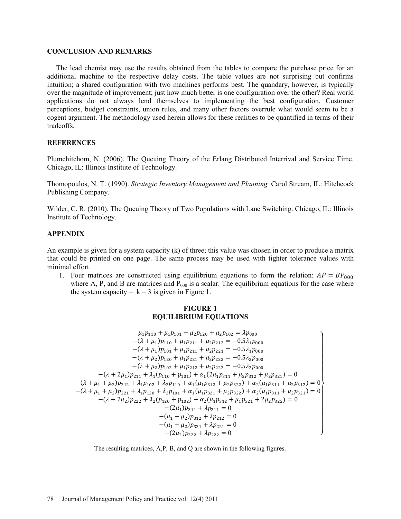#### **CONCLUSION AND REMARKS**

 The lead chemist may use the results obtained from the tables to compare the purchase price for an additional machine to the respective delay costs. The table values are not surprising but confirms intuition; a shared configuration with two machines performs best. The quandary, however, is typically over the magnitude of improvement; just how much better is one configuration over the other? Real world applications do not always lend themselves to implementing the best configuration. Customer perceptions, budget constraints, union rules, and many other factors overrule what would seem to be a cogent argument. The methodology used herein allows for these realities to be quantified in terms of their tradeoffs.

### **REFERENCES**

Plumchitchom, N. (2006). The Queuing Theory of the Erlang Distributed Interrival and Service Time. Chicago, IL: Illinois Institute of Technology.

Thomopoulos, N. T. (1990). *Strategic Inventory Management and Planning.* Carol Stream, IL: Hitchcock Publishing Company.

Wilder, C. R. (2010). The Queuing Theory of Two Populations with Lane Switching. Chicago, IL: Illinois Institute of Technology.

## **APPENDIX**

An example is given for a system capacity (k) of three; this value was chosen in order to produce a matrix that could be printed on one page. The same process may be used with tighter tolerance values with minimal effort.

1. Four matrices are constructed using equilibrium equations to form the relation:  $AP = BP_{000}$ where A, P, and B are matrices and  $P_{000}$  is a scalar. The equilibrium equations for the case where the system capacity =  $k = 3$  is given in Figure 1.

## **FIGURE 1 EQUILIBRIUM EQUATIONS**

$$
\mu_1 p_{110} + \mu_1 p_{101} + \mu_2 p_{120} + \mu_2 p_{102} = \lambda p_{000}
$$
  
\n
$$
-(\lambda + \mu_1) p_{110} + \mu_1 p_{211} + \mu_2 p_{212} = -0.5\lambda_1 p_{000}
$$
  
\n
$$
-(\lambda + \mu_1) p_{101} + \mu_1 p_{211} + \mu_2 p_{221} = -0.5\lambda_1 p_{000}
$$
  
\n
$$
-(\lambda + \mu_2) p_{120} + \mu_1 p_{221} + \mu_2 p_{222} = -0.5\lambda_2 p_{000}
$$
  
\n
$$
-(\lambda + \mu_2) p_{102} + \mu_1 p_{212} + \mu_2 p_{222} = -0.5\lambda_2 p_{000}
$$
  
\n
$$
-(\lambda + 2\mu_1) p_{211} + \lambda_1 (p_{110} + p_{101}) + \alpha_1 (2\mu_1 p_{311} + \mu_2 p_{312} + \mu_2 p_{321}) = 0
$$
  
\n
$$
-(\lambda + \mu_1 + \mu_2) p_{212} + \lambda_1 p_{102} + \lambda_2 p_{110} + \alpha_1 (\mu_1 p_{312} + \mu_2 p_{322}) + \alpha_2 (\mu_1 p_{311} + \mu_2 p_{312}) = 0
$$
  
\n
$$
-(\lambda + \mu_1 + \mu_2) p_{221} + \lambda_1 p_{120} + \lambda_2 p_{101} + \alpha_1 (\mu_1 p_{321} + \mu_2 p_{322}) + \alpha_2 (\mu_1 p_{311} + \mu_2 p_{321}) = 0
$$
  
\n
$$
-(\lambda + 2\mu_2) p_{222} + \lambda_2 (p_{120} + p_{102}) + \alpha_2 (\mu_1 p_{312} + \mu_1 p_{321} + 2\mu_2 p_{322}) = 0
$$
  
\n
$$
-(2\mu_1) p_{311} + \lambda p_{211} = 0
$$
  
\n
$$
-(\mu_1 + \mu_2
$$

The resulting matrices, A,P, B, and Q are shown in the following figures.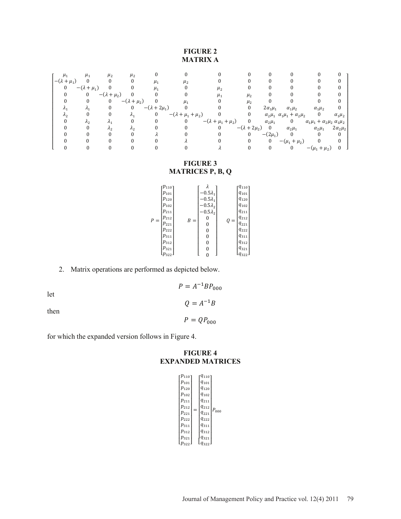## **FIGURE 2 MATRIX A**

| $\mu_{1}$              | $\mu_{1}$              | $\mu_{2}$                | $\mu_{2}$            |                         |                              |                                |                         |                  |                                                                     |                                  |                 |
|------------------------|------------------------|--------------------------|----------------------|-------------------------|------------------------------|--------------------------------|-------------------------|------------------|---------------------------------------------------------------------|----------------------------------|-----------------|
| $-(\lambda + \mu_1)$ 0 |                        | $\bf{0}$                 |                      | $\mu_1$                 | $\mu_{2}$                    |                                |                         |                  |                                                                     |                                  |                 |
| $\mathbf{0}$           | $-(\lambda + \mu_1)$ 0 |                          |                      | $\mu_1$                 |                              | $\mu_{2}$                      |                         |                  |                                                                     |                                  |                 |
|                        |                        | 0 $-(\lambda + \mu_2)$ 0 |                      |                         |                              | $\mu_{1}$                      | $\mu_{2}$               |                  |                                                                     |                                  |                 |
|                        | 0                      | $\mathbf{0}$             | $-(\lambda + \mu_2)$ |                         |                              |                                | $\mu_{2}$               |                  |                                                                     |                                  |                 |
|                        | $\mathcal{A}_1$        |                          |                      | 0 $-(\lambda + 2\mu_1)$ |                              |                                | 0                       | $2\alpha_1\mu_1$ | $\alpha_1\mu_2$                                                     | $\alpha_1\mu_2$                  |                 |
|                        |                        | $\mathbf{0}$             | $\lambda_1$          | $\mathbf{0}$            | $-(\lambda + \mu_1 + \mu_2)$ |                                | $\mathbf{0}$            |                  | $\alpha_2 \mu_1 \ \alpha_1 \mu_1 + \alpha_2 \mu_2$ 0                |                                  | $\alpha_1\mu_2$ |
|                        | Λŋ                     |                          |                      |                         | $\Omega$                     | $-(\lambda + \mu_1 + \mu_2)$ 0 |                         |                  | $\alpha_2 \mu_1$ 0 $\alpha_1 \mu_1 + \alpha_2 \mu_2 \alpha_1 \mu_2$ |                                  |                 |
|                        |                        |                          | $\Lambda_{2}$        |                         |                              | $_{0}$                         | $-(\lambda + 2\mu_2)$ 0 |                  | $\alpha_2\mu_1$                                                     | $\alpha_2\mu_1$ $2\alpha_2\mu_2$ |                 |
|                        |                        |                          |                      |                         |                              |                                | $\Omega$                | $-(2\mu_1)$      | $\overline{0}$                                                      |                                  |                 |
|                        |                        |                          |                      |                         |                              |                                |                         |                  | 0 $-(\mu_1 + \mu_2)$                                                |                                  |                 |
|                        |                        |                          |                      |                         |                              |                                |                         | 0                | $\mathbf{0}$                                                        | $-(\mu_1 + \mu_2)$               |                 |

## **FIGURE 3 MATRICES P, B, Q**

|       | $\cdot p_{110}$ ן |       |                 |       | $q_{110}$ ]   |
|-------|-------------------|-------|-----------------|-------|---------------|
| $P =$ | $p_{101}$         |       | $-0.5\lambda_1$ | $Q =$ | $q_{101}$     |
|       | $p_{120}$         |       | $-0.5\lambda_1$ |       | $q_{120}$     |
|       | $p_{102}$         |       | $-0.5\lambda_2$ |       | $q_{102}$     |
|       | $p_{211}$         |       | $-0.5\lambda_2$ |       | $q_{211}$     |
|       | $p_{212}$         | $B =$ | 0               |       | $q_{212}$     |
|       | $p_{221}$         |       | 0               |       | $q_{221}$     |
|       | $p_{222}$         |       | 0               |       | $q_{222}$     |
|       | $p_{311}$         |       | 0               |       | $q_{311}$     |
|       | $p_{312}$         |       | 0               |       | $q_{\rm 312}$ |
|       | $p_{321}$         |       | 0               |       | $q_{321}$     |
|       | $p_{322}$ ,       |       | 0               |       | $q_{322}$     |

# 2. Matrix operations are performed as depicted below.

let

then

 $Q = A^{-1}B$ 

 $P = A^{-1}BP_{000}$ 

 $P = QP_{000}$ 

for which the expanded version follows in Figure 4.

## **FIGURE 4 EXPANDED MATRICES**

| $p_{110}$ ר | $q_{\rm 110^{-}}$ |           |
|-------------|-------------------|-----------|
| $p_{101}$   | $q_{101}$         |           |
| $p_{120}$   | $q_{120}$         |           |
| $p_{102}$   | $q_{102}$         |           |
| $p_{211}$   | $q_{211}$         |           |
| $p_{212}$   | $q_{212}$         |           |
| $p_{221}$   | $q_{221}$         | $P_{000}$ |
| $p_{222}$   | $q_{222}$         |           |
| $p_{311}$   | $q_{311}$         |           |
| $p_{312}$   | $q_{312}$         |           |
| $p_{321}$   | $q_{321}$         |           |
| $p_{322}$   | $[q_{322}]$       |           |